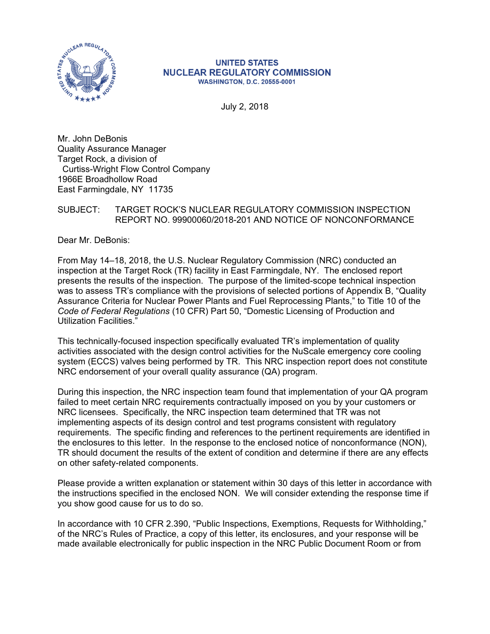

#### **UNITED STATES NUCLEAR REGULATORY COMMISSION WASHINGTON, D.C. 20555-0001**

July 2, 2018

Mr. John DeBonis Quality Assurance Manager Target Rock, a division of Curtiss-Wright Flow Control Company 1966E Broadhollow Road East Farmingdale, NY 11735

### SUBJECT: TARGET ROCK'S NUCLEAR REGULATORY COMMISSION INSPECTION REPORT NO. 99900060/2018-201 AND NOTICE OF NONCONFORMANCE

Dear Mr. DeBonis:

From May 14–18, 2018, the U.S. Nuclear Regulatory Commission (NRC) conducted an inspection at the Target Rock (TR) facility in East Farmingdale, NY. The enclosed report presents the results of the inspection. The purpose of the limited-scope technical inspection was to assess TR's compliance with the provisions of selected portions of Appendix B, "Quality Assurance Criteria for Nuclear Power Plants and Fuel Reprocessing Plants," to Title 10 of the *Code of Federal Regulations* (10 CFR) Part 50, "Domestic Licensing of Production and Utilization Facilities."

This technically-focused inspection specifically evaluated TR's implementation of quality activities associated with the design control activities for the NuScale emergency core cooling system (ECCS) valves being performed by TR. This NRC inspection report does not constitute NRC endorsement of your overall quality assurance (QA) program.

During this inspection, the NRC inspection team found that implementation of your QA program failed to meet certain NRC requirements contractually imposed on you by your customers or NRC licensees. Specifically, the NRC inspection team determined that TR was not implementing aspects of its design control and test programs consistent with regulatory requirements. The specific finding and references to the pertinent requirements are identified in the enclosures to this letter. In the response to the enclosed notice of nonconformance (NON), TR should document the results of the extent of condition and determine if there are any effects on other safety-related components.

Please provide a written explanation or statement within 30 days of this letter in accordance with the instructions specified in the enclosed NON. We will consider extending the response time if you show good cause for us to do so.

In accordance with 10 CFR 2.390, "Public Inspections, Exemptions, Requests for Withholding," of the NRC's Rules of Practice, a copy of this letter, its enclosures, and your response will be made available electronically for public inspection in the NRC Public Document Room or from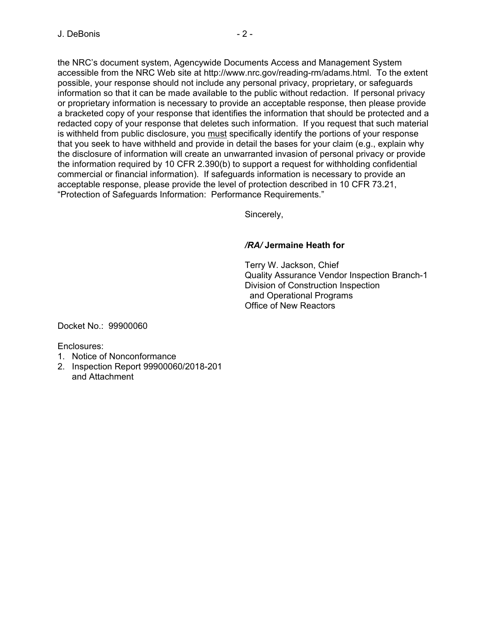the NRC's document system, Agencywide Documents Access and Management System accessible from the NRC Web site at http://www.nrc.gov/reading-rm/adams.html. To the extent possible, your response should not include any personal privacy, proprietary, or safeguards information so that it can be made available to the public without redaction. If personal privacy or proprietary information is necessary to provide an acceptable response, then please provide a bracketed copy of your response that identifies the information that should be protected and a redacted copy of your response that deletes such information. If you request that such material is withheld from public disclosure, you must specifically identify the portions of your response that you seek to have withheld and provide in detail the bases for your claim (e.g., explain why the disclosure of information will create an unwarranted invasion of personal privacy or provide the information required by 10 CFR 2.390(b) to support a request for withholding confidential commercial or financial information). If safeguards information is necessary to provide an acceptable response, please provide the level of protection described in 10 CFR 73.21, "Protection of Safeguards Information: Performance Requirements."

Sincerely,

## */RA/* **Jermaine Heath for**

Terry W. Jackson, Chief Quality Assurance Vendor Inspection Branch-1 Division of Construction Inspection and Operational Programs Office of New Reactors

Docket No.: 99900060

Enclosures:

- 1. Notice of Nonconformance
- 2. Inspection Report 99900060/2018-201 and Attachment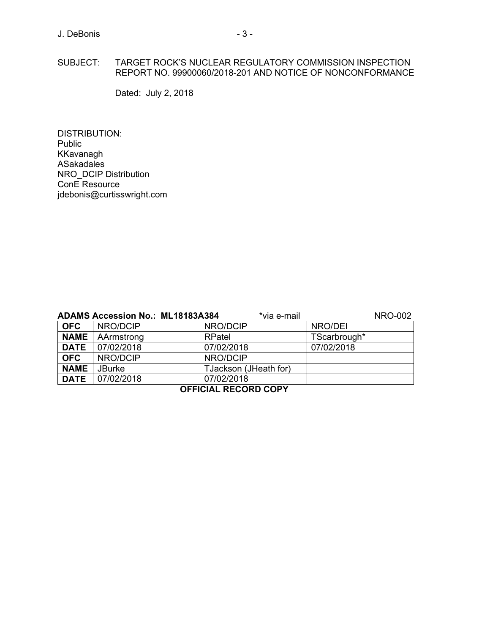### SUBJECT: TARGET ROCK'S NUCLEAR REGULATORY COMMISSION INSPECTION REPORT NO. 99900060/2018-201 AND NOTICE OF NONCONFORMANCE

Dated: July 2, 2018

DISTRIBUTION: **Public** KKavanagh ASakadales NRO\_DCIP Distribution ConE Resource jdebonis@curtisswright.com

| <b>ADAMS Accession No.: ML18183A384</b><br>*via e-mail<br><b>NRO-002</b> |               |                       |              |  |
|--------------------------------------------------------------------------|---------------|-----------------------|--------------|--|
| <b>OFC</b>                                                               | NRO/DCIP      | NRO/DCIP              | NRO/DEI      |  |
| <b>NAME</b>                                                              | AArmstrong    | RPatel                | TScarbrough* |  |
| <b>DATE</b>                                                              | 07/02/2018    | 07/02/2018            | 07/02/2018   |  |
| <b>OFC</b>                                                               | NRO/DCIP      | NRO/DCIP              |              |  |
| <b>NAME</b>                                                              | <b>JBurke</b> | TJackson (JHeath for) |              |  |
| <b>DATE</b>                                                              | 07/02/2018    | 07/02/2018            |              |  |
| $A = 1A111$ $B = A A B B A A B11$                                        |               |                       |              |  |

#### **OFFICIAL RECORD COPY**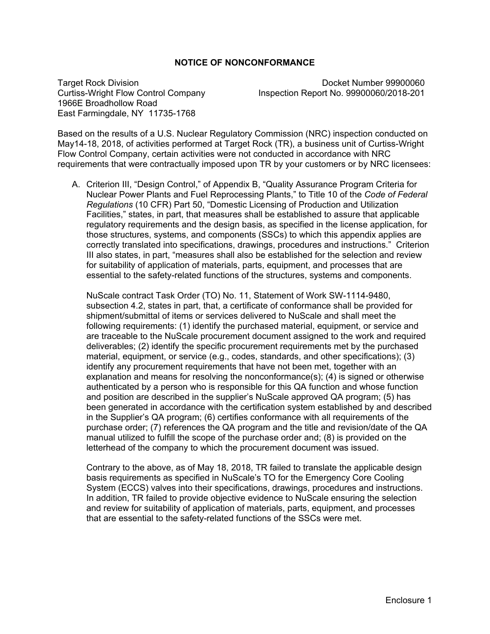### **NOTICE OF NONCONFORMANCE**

1966E Broadhollow Road East Farmingdale, NY 11735-1768

Target Rock Division<br>Curtiss-Wright Flow Control Company Material Inspection Report No. 99900060/2018-201 Inspection Report No. 99900060/2018-201

Based on the results of a U.S. Nuclear Regulatory Commission (NRC) inspection conducted on May14-18, 2018, of activities performed at Target Rock (TR), a business unit of Curtiss-Wright Flow Control Company, certain activities were not conducted in accordance with NRC requirements that were contractually imposed upon TR by your customers or by NRC licensees:

A. Criterion III, "Design Control," of Appendix B, "Quality Assurance Program Criteria for Nuclear Power Plants and Fuel Reprocessing Plants," to Title 10 of the *Code of Federal Regulations* (10 CFR) Part 50, "Domestic Licensing of Production and Utilization Facilities," states, in part, that measures shall be established to assure that applicable regulatory requirements and the design basis, as specified in the license application, for those structures, systems, and components (SSCs) to which this appendix applies are correctly translated into specifications, drawings, procedures and instructions." Criterion III also states, in part, "measures shall also be established for the selection and review for suitability of application of materials, parts, equipment, and processes that are essential to the safety-related functions of the structures, systems and components.

NuScale contract Task Order (TO) No. 11, Statement of Work SW-1114-9480, subsection 4.2, states in part, that, a certificate of conformance shall be provided for shipment/submittal of items or services delivered to NuScale and shall meet the following requirements: (1) identify the purchased material, equipment, or service and are traceable to the NuScale procurement document assigned to the work and required deliverables; (2) identify the specific procurement requirements met by the purchased material, equipment, or service (e.g., codes, standards, and other specifications); (3) identify any procurement requirements that have not been met, together with an explanation and means for resolving the nonconformance(s); (4) is signed or otherwise authenticated by a person who is responsible for this QA function and whose function and position are described in the supplier's NuScale approved QA program; (5) has been generated in accordance with the certification system established by and described in the Supplier's QA program; (6) certifies conformance with all requirements of the purchase order; (7) references the QA program and the title and revision/date of the QA manual utilized to fulfill the scope of the purchase order and; (8) is provided on the letterhead of the company to which the procurement document was issued.

Contrary to the above, as of May 18, 2018, TR failed to translate the applicable design basis requirements as specified in NuScale's TO for the Emergency Core Cooling System (ECCS) valves into their specifications, drawings, procedures and instructions. In addition, TR failed to provide objective evidence to NuScale ensuring the selection and review for suitability of application of materials, parts, equipment, and processes that are essential to the safety-related functions of the SSCs were met.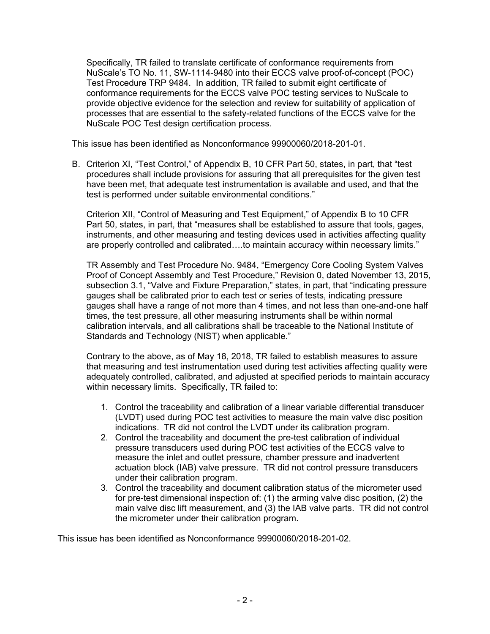Specifically, TR failed to translate certificate of conformance requirements from NuScale's TO No. 11, SW-1114-9480 into their ECCS valve proof-of-concept (POC) Test Procedure TRP 9484. In addition, TR failed to submit eight certificate of conformance requirements for the ECCS valve POC testing services to NuScale to provide objective evidence for the selection and review for suitability of application of processes that are essential to the safety-related functions of the ECCS valve for the NuScale POC Test design certification process.

This issue has been identified as Nonconformance 99900060/2018-201-01.

B. Criterion XI, "Test Control," of Appendix B, 10 CFR Part 50, states, in part, that "test procedures shall include provisions for assuring that all prerequisites for the given test have been met, that adequate test instrumentation is available and used, and that the test is performed under suitable environmental conditions."

Criterion XII, "Control of Measuring and Test Equipment," of Appendix B to 10 CFR Part 50, states, in part, that "measures shall be established to assure that tools, gages, instruments, and other measuring and testing devices used in activities affecting quality are properly controlled and calibrated….to maintain accuracy within necessary limits."

TR Assembly and Test Procedure No. 9484, "Emergency Core Cooling System Valves Proof of Concept Assembly and Test Procedure," Revision 0, dated November 13, 2015, subsection 3.1, "Valve and Fixture Preparation," states, in part, that "indicating pressure gauges shall be calibrated prior to each test or series of tests, indicating pressure gauges shall have a range of not more than 4 times, and not less than one-and-one half times, the test pressure, all other measuring instruments shall be within normal calibration intervals, and all calibrations shall be traceable to the National Institute of Standards and Technology (NIST) when applicable."

Contrary to the above, as of May 18, 2018, TR failed to establish measures to assure that measuring and test instrumentation used during test activities affecting quality were adequately controlled, calibrated, and adjusted at specified periods to maintain accuracy within necessary limits. Specifically, TR failed to:

- 1. Control the traceability and calibration of a linear variable differential transducer (LVDT) used during POC test activities to measure the main valve disc position indications. TR did not control the LVDT under its calibration program.
- 2. Control the traceability and document the pre-test calibration of individual pressure transducers used during POC test activities of the ECCS valve to measure the inlet and outlet pressure, chamber pressure and inadvertent actuation block (IAB) valve pressure. TR did not control pressure transducers under their calibration program.
- 3. Control the traceability and document calibration status of the micrometer used for pre-test dimensional inspection of: (1) the arming valve disc position, (2) the main valve disc lift measurement, and (3) the IAB valve parts. TR did not control the micrometer under their calibration program.

This issue has been identified as Nonconformance 99900060/2018-201-02.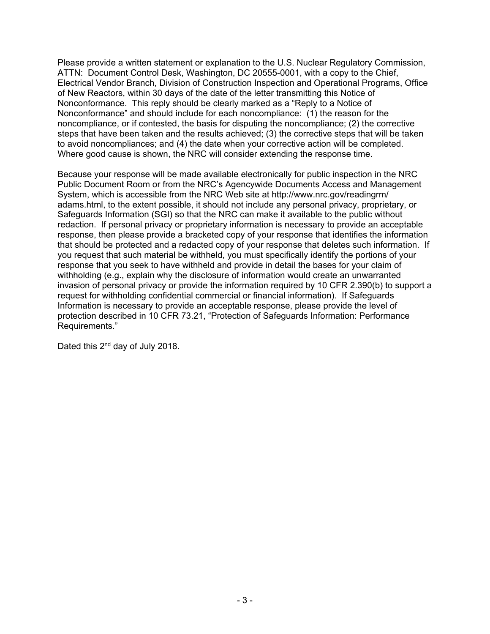Please provide a written statement or explanation to the U.S. Nuclear Regulatory Commission, ATTN: Document Control Desk, Washington, DC 20555-0001, with a copy to the Chief, Electrical Vendor Branch, Division of Construction Inspection and Operational Programs, Office of New Reactors, within 30 days of the date of the letter transmitting this Notice of Nonconformance. This reply should be clearly marked as a "Reply to a Notice of Nonconformance" and should include for each noncompliance: (1) the reason for the noncompliance, or if contested, the basis for disputing the noncompliance; (2) the corrective steps that have been taken and the results achieved; (3) the corrective steps that will be taken to avoid noncompliances; and (4) the date when your corrective action will be completed. Where good cause is shown, the NRC will consider extending the response time.

Because your response will be made available electronically for public inspection in the NRC Public Document Room or from the NRC's Agencywide Documents Access and Management System, which is accessible from the NRC Web site at http://www.nrc.gov/readingrm/ adams.html, to the extent possible, it should not include any personal privacy, proprietary, or Safeguards Information (SGI) so that the NRC can make it available to the public without redaction. If personal privacy or proprietary information is necessary to provide an acceptable response, then please provide a bracketed copy of your response that identifies the information that should be protected and a redacted copy of your response that deletes such information. If you request that such material be withheld, you must specifically identify the portions of your response that you seek to have withheld and provide in detail the bases for your claim of withholding (e.g., explain why the disclosure of information would create an unwarranted invasion of personal privacy or provide the information required by 10 CFR 2.390(b) to support a request for withholding confidential commercial or financial information). If Safeguards Information is necessary to provide an acceptable response, please provide the level of protection described in 10 CFR 73.21, "Protection of Safeguards Information: Performance Requirements."

Dated this 2<sup>nd</sup> day of July 2018.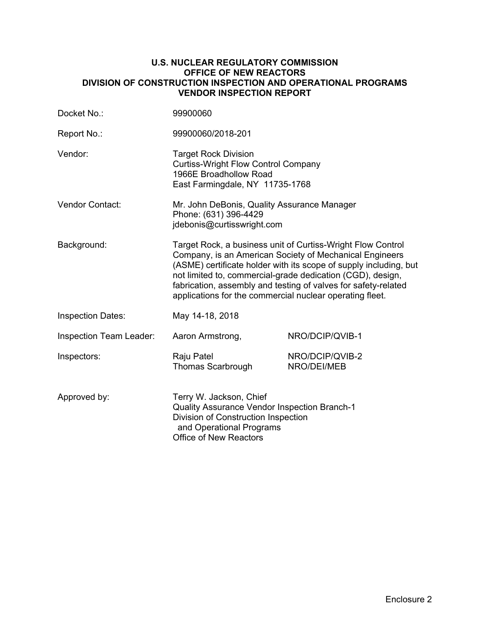### **U.S. NUCLEAR REGULATORY COMMISSION OFFICE OF NEW REACTORS DIVISION OF CONSTRUCTION INSPECTION AND OPERATIONAL PROGRAMS VENDOR INSPECTION REPORT**

| Docket No.:              | 99900060                                                                                                                                                                           |                                                                                                                                                                                                                                                                                                                             |
|--------------------------|------------------------------------------------------------------------------------------------------------------------------------------------------------------------------------|-----------------------------------------------------------------------------------------------------------------------------------------------------------------------------------------------------------------------------------------------------------------------------------------------------------------------------|
| Report No.:              | 99900060/2018-201                                                                                                                                                                  |                                                                                                                                                                                                                                                                                                                             |
| Vendor:                  | <b>Target Rock Division</b><br><b>Curtiss-Wright Flow Control Company</b><br>1966E Broadhollow Road<br>East Farmingdale, NY 11735-1768                                             |                                                                                                                                                                                                                                                                                                                             |
| <b>Vendor Contact:</b>   | Mr. John DeBonis, Quality Assurance Manager<br>Phone: (631) 396-4429<br>idebonis@curtisswright.com                                                                                 |                                                                                                                                                                                                                                                                                                                             |
| Background:              | applications for the commercial nuclear operating fleet.                                                                                                                           | Target Rock, a business unit of Curtiss-Wright Flow Control<br>Company, is an American Society of Mechanical Engineers<br>(ASME) certificate holder with its scope of supply including, but<br>not limited to, commercial-grade dedication (CGD), design,<br>fabrication, assembly and testing of valves for safety-related |
| <b>Inspection Dates:</b> | May 14-18, 2018                                                                                                                                                                    |                                                                                                                                                                                                                                                                                                                             |
| Inspection Team Leader:  | Aaron Armstrong,                                                                                                                                                                   | NRO/DCIP/QVIB-1                                                                                                                                                                                                                                                                                                             |
| Inspectors:              | Raju Patel<br><b>Thomas Scarbrough</b>                                                                                                                                             | NRO/DCIP/QVIB-2<br>NRO/DEI/MEB                                                                                                                                                                                                                                                                                              |
| Approved by:             | Terry W. Jackson, Chief<br><b>Quality Assurance Vendor Inspection Branch-1</b><br>Division of Construction Inspection<br>and Operational Programs<br><b>Office of New Reactors</b> |                                                                                                                                                                                                                                                                                                                             |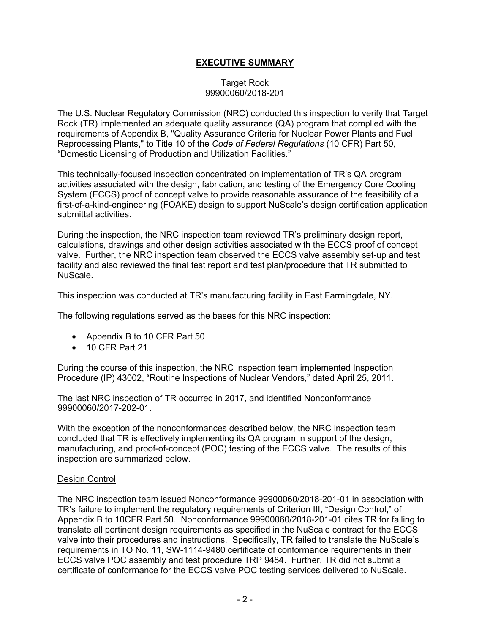# **EXECUTIVE SUMMARY**

### Target Rock 99900060/2018-201

The U.S. Nuclear Regulatory Commission (NRC) conducted this inspection to verify that Target Rock (TR) implemented an adequate quality assurance (QA) program that complied with the requirements of Appendix B, "Quality Assurance Criteria for Nuclear Power Plants and Fuel Reprocessing Plants," to Title 10 of the *Code of Federal Regulations* (10 CFR) Part 50, "Domestic Licensing of Production and Utilization Facilities."

This technically-focused inspection concentrated on implementation of TR's QA program activities associated with the design, fabrication, and testing of the Emergency Core Cooling System (ECCS) proof of concept valve to provide reasonable assurance of the feasibility of a first-of-a-kind-engineering (FOAKE) design to support NuScale's design certification application submittal activities.

During the inspection, the NRC inspection team reviewed TR's preliminary design report, calculations, drawings and other design activities associated with the ECCS proof of concept valve. Further, the NRC inspection team observed the ECCS valve assembly set-up and test facility and also reviewed the final test report and test plan/procedure that TR submitted to NuScale.

This inspection was conducted at TR's manufacturing facility in East Farmingdale, NY.

The following regulations served as the bases for this NRC inspection:

- Appendix B to 10 CFR Part 50
- 10 CFR Part 21

During the course of this inspection, the NRC inspection team implemented Inspection Procedure (IP) 43002, "Routine Inspections of Nuclear Vendors," dated April 25, 2011.

The last NRC inspection of TR occurred in 2017, and identified Nonconformance 99900060/2017-202-01.

With the exception of the nonconformances described below, the NRC inspection team concluded that TR is effectively implementing its QA program in support of the design, manufacturing, and proof-of-concept (POC) testing of the ECCS valve. The results of this inspection are summarized below.

#### Design Control

The NRC inspection team issued Nonconformance 99900060/2018-201-01 in association with TR's failure to implement the regulatory requirements of Criterion III, "Design Control," of Appendix B to 10CFR Part 50. Nonconformance 99900060/2018-201-01 cites TR for failing to translate all pertinent design requirements as specified in the NuScale contract for the ECCS valve into their procedures and instructions. Specifically, TR failed to translate the NuScale's requirements in TO No. 11, SW-1114-9480 certificate of conformance requirements in their ECCS valve POC assembly and test procedure TRP 9484. Further, TR did not submit a certificate of conformance for the ECCS valve POC testing services delivered to NuScale.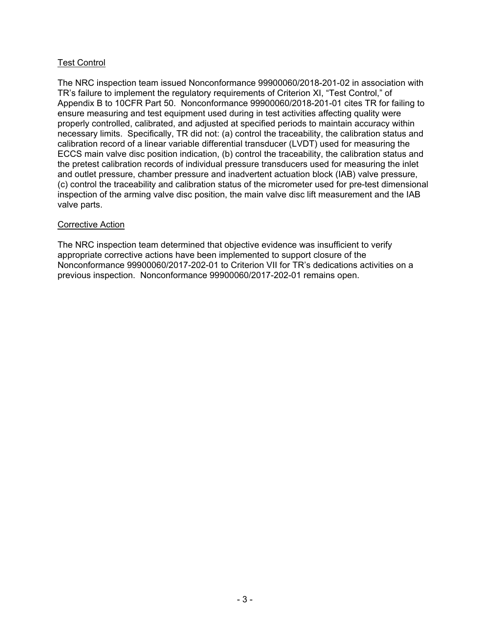# Test Control

The NRC inspection team issued Nonconformance 99900060/2018-201-02 in association with TR's failure to implement the regulatory requirements of Criterion XI, "Test Control," of Appendix B to 10CFR Part 50. Nonconformance 99900060/2018-201-01 cites TR for failing to ensure measuring and test equipment used during in test activities affecting quality were properly controlled, calibrated, and adjusted at specified periods to maintain accuracy within necessary limits. Specifically, TR did not: (a) control the traceability, the calibration status and calibration record of a linear variable differential transducer (LVDT) used for measuring the ECCS main valve disc position indication, (b) control the traceability, the calibration status and the pretest calibration records of individual pressure transducers used for measuring the inlet and outlet pressure, chamber pressure and inadvertent actuation block (IAB) valve pressure, (c) control the traceability and calibration status of the micrometer used for pre-test dimensional inspection of the arming valve disc position, the main valve disc lift measurement and the IAB valve parts.

### Corrective Action

The NRC inspection team determined that objective evidence was insufficient to verify appropriate corrective actions have been implemented to support closure of the Nonconformance 99900060/2017-202-01 to Criterion VII for TR's dedications activities on a previous inspection. Nonconformance 99900060/2017-202-01 remains open.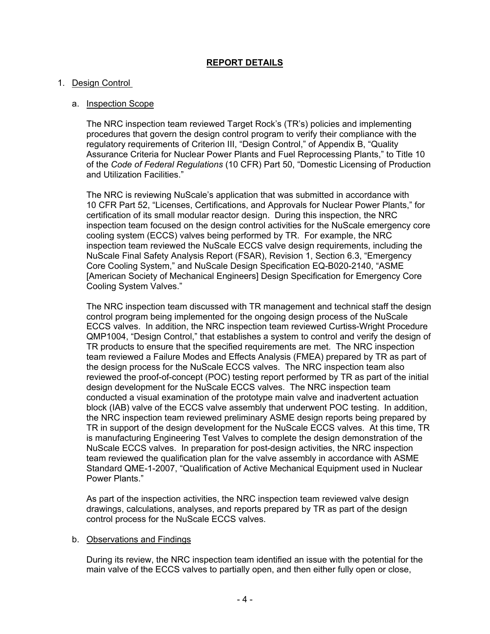# **REPORT DETAILS**

### 1. Design Control

### a. Inspection Scope

The NRC inspection team reviewed Target Rock's (TR's) policies and implementing procedures that govern the design control program to verify their compliance with the regulatory requirements of Criterion III, "Design Control," of Appendix B, "Quality Assurance Criteria for Nuclear Power Plants and Fuel Reprocessing Plants," to Title 10 of the *Code of Federal Regulations* (10 CFR) Part 50, "Domestic Licensing of Production and Utilization Facilities."

The NRC is reviewing NuScale's application that was submitted in accordance with 10 CFR Part 52, "Licenses, Certifications, and Approvals for Nuclear Power Plants," for certification of its small modular reactor design. During this inspection, the NRC inspection team focused on the design control activities for the NuScale emergency core cooling system (ECCS) valves being performed by TR. For example, the NRC inspection team reviewed the NuScale ECCS valve design requirements, including the NuScale Final Safety Analysis Report (FSAR), Revision 1, Section 6.3, "Emergency Core Cooling System," and NuScale Design Specification EQ-B020-2140, "ASME [American Society of Mechanical Engineers] Design Specification for Emergency Core Cooling System Valves."

The NRC inspection team discussed with TR management and technical staff the design control program being implemented for the ongoing design process of the NuScale ECCS valves. In addition, the NRC inspection team reviewed Curtiss-Wright Procedure QMP1004, "Design Control," that establishes a system to control and verify the design of TR products to ensure that the specified requirements are met. The NRC inspection team reviewed a Failure Modes and Effects Analysis (FMEA) prepared by TR as part of the design process for the NuScale ECCS valves. The NRC inspection team also reviewed the proof-of-concept (POC) testing report performed by TR as part of the initial design development for the NuScale ECCS valves. The NRC inspection team conducted a visual examination of the prototype main valve and inadvertent actuation block (IAB) valve of the ECCS valve assembly that underwent POC testing. In addition, the NRC inspection team reviewed preliminary ASME design reports being prepared by TR in support of the design development for the NuScale ECCS valves. At this time, TR is manufacturing Engineering Test Valves to complete the design demonstration of the NuScale ECCS valves. In preparation for post-design activities, the NRC inspection team reviewed the qualification plan for the valve assembly in accordance with ASME Standard QME-1-2007, "Qualification of Active Mechanical Equipment used in Nuclear Power Plants."

As part of the inspection activities, the NRC inspection team reviewed valve design drawings, calculations, analyses, and reports prepared by TR as part of the design control process for the NuScale ECCS valves.

#### b. Observations and Findings

During its review, the NRC inspection team identified an issue with the potential for the main valve of the ECCS valves to partially open, and then either fully open or close,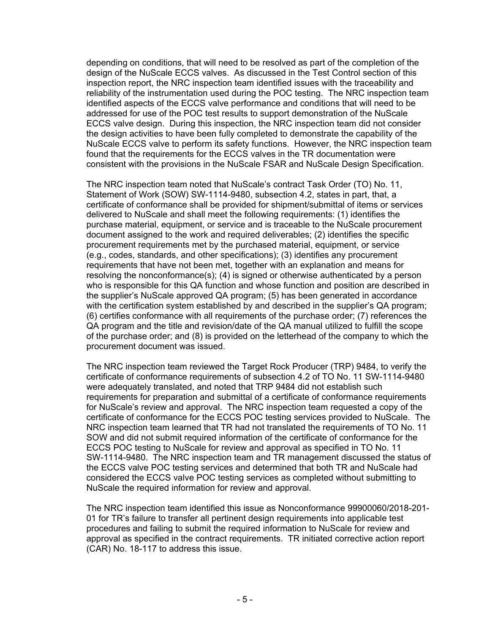depending on conditions, that will need to be resolved as part of the completion of the design of the NuScale ECCS valves. As discussed in the Test Control section of this inspection report, the NRC inspection team identified issues with the traceability and reliability of the instrumentation used during the POC testing. The NRC inspection team identified aspects of the ECCS valve performance and conditions that will need to be addressed for use of the POC test results to support demonstration of the NuScale ECCS valve design. During this inspection, the NRC inspection team did not consider the design activities to have been fully completed to demonstrate the capability of the NuScale ECCS valve to perform its safety functions. However, the NRC inspection team found that the requirements for the ECCS valves in the TR documentation were consistent with the provisions in the NuScale FSAR and NuScale Design Specification.

The NRC inspection team noted that NuScale's contract Task Order (TO) No. 11, Statement of Work (SOW) SW-1114-9480, subsection 4.2, states in part, that, a certificate of conformance shall be provided for shipment/submittal of items or services delivered to NuScale and shall meet the following requirements: (1) identifies the purchase material, equipment, or service and is traceable to the NuScale procurement document assigned to the work and required deliverables; (2) identifies the specific procurement requirements met by the purchased material, equipment, or service (e.g., codes, standards, and other specifications); (3) identifies any procurement requirements that have not been met, together with an explanation and means for resolving the nonconformance(s); (4) is signed or otherwise authenticated by a person who is responsible for this QA function and whose function and position are described in the supplier's NuScale approved QA program; (5) has been generated in accordance with the certification system established by and described in the supplier's QA program; (6) certifies conformance with all requirements of the purchase order; (7) references the QA program and the title and revision/date of the QA manual utilized to fulfill the scope of the purchase order; and (8) is provided on the letterhead of the company to which the procurement document was issued.

The NRC inspection team reviewed the Target Rock Producer (TRP) 9484, to verify the certificate of conformance requirements of subsection 4.2 of TO No. 11 SW-1114-9480 were adequately translated, and noted that TRP 9484 did not establish such requirements for preparation and submittal of a certificate of conformance requirements for NuScale's review and approval. The NRC inspection team requested a copy of the certificate of conformance for the ECCS POC testing services provided to NuScale. The NRC inspection team learned that TR had not translated the requirements of TO No. 11 SOW and did not submit required information of the certificate of conformance for the ECCS POC testing to NuScale for review and approval as specified in TO No. 11 SW-1114-9480. The NRC inspection team and TR management discussed the status of the ECCS valve POC testing services and determined that both TR and NuScale had considered the ECCS valve POC testing services as completed without submitting to NuScale the required information for review and approval.

The NRC inspection team identified this issue as Nonconformance 99900060/2018-201- 01 for TR's failure to transfer all pertinent design requirements into applicable test procedures and failing to submit the required information to NuScale for review and approval as specified in the contract requirements. TR initiated corrective action report (CAR) No. 18-117 to address this issue.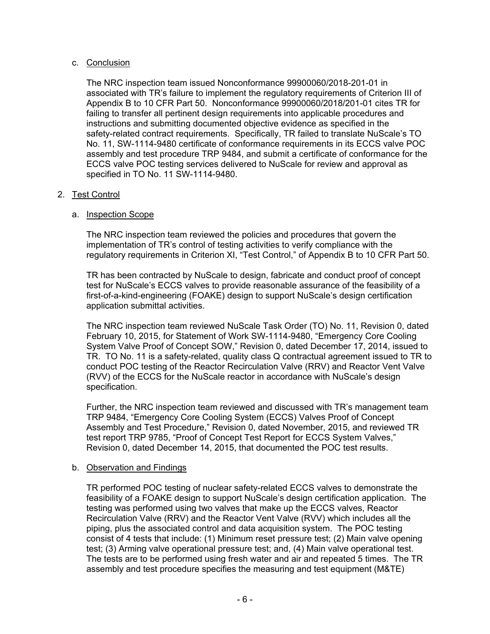### c. Conclusion

The NRC inspection team issued Nonconformance 99900060/2018-201-01 in associated with TR's failure to implement the regulatory requirements of Criterion III of Appendix B to 10 CFR Part 50. Nonconformance 99900060/2018/201-01 cites TR for failing to transfer all pertinent design requirements into applicable procedures and instructions and submitting documented objective evidence as specified in the safety-related contract requirements. Specifically, TR failed to translate NuScale's TO No. 11, SW-1114-9480 certificate of conformance requirements in its ECCS valve POC assembly and test procedure TRP 9484, and submit a certificate of conformance for the ECCS valve POC testing services delivered to NuScale for review and approval as specified in TO No. 11 SW-1114-9480.

# 2. Test Control

## a. Inspection Scope

The NRC inspection team reviewed the policies and procedures that govern the implementation of TR's control of testing activities to verify compliance with the regulatory requirements in Criterion XI, "Test Control," of Appendix B to 10 CFR Part 50.

TR has been contracted by NuScale to design, fabricate and conduct proof of concept test for NuScale's ECCS valves to provide reasonable assurance of the feasibility of a first-of-a-kind-engineering (FOAKE) design to support NuScale's design certification application submittal activities.

The NRC inspection team reviewed NuScale Task Order (TO) No. 11, Revision 0, dated February 10, 2015, for Statement of Work SW-1114-9480, "Emergency Core Cooling System Valve Proof of Concept SOW," Revision 0, dated December 17, 2014, issued to TR. TO No. 11 is a safety-related, quality class Q contractual agreement issued to TR to conduct POC testing of the Reactor Recirculation Valve (RRV) and Reactor Vent Valve (RVV) of the ECCS for the NuScale reactor in accordance with NuScale's design specification.

Further, the NRC inspection team reviewed and discussed with TR's management team TRP 9484, "Emergency Core Cooling System (ECCS) Valves Proof of Concept Assembly and Test Procedure," Revision 0, dated November, 2015, and reviewed TR test report TRP 9785, "Proof of Concept Test Report for ECCS System Valves," Revision 0, dated December 14, 2015, that documented the POC test results.

## b. Observation and Findings

TR performed POC testing of nuclear safety-related ECCS valves to demonstrate the feasibility of a FOAKE design to support NuScale's design certification application. The testing was performed using two valves that make up the ECCS valves, Reactor Recirculation Valve (RRV) and the Reactor Vent Valve (RVV) which includes all the piping, plus the associated control and data acquisition system. The POC testing consist of 4 tests that include: (1) Minimum reset pressure test; (2) Main valve opening test; (3) Arming valve operational pressure test; and, (4) Main valve operational test. The tests are to be performed using fresh water and air and repeated 5 times. The TR assembly and test procedure specifies the measuring and test equipment (M&TE)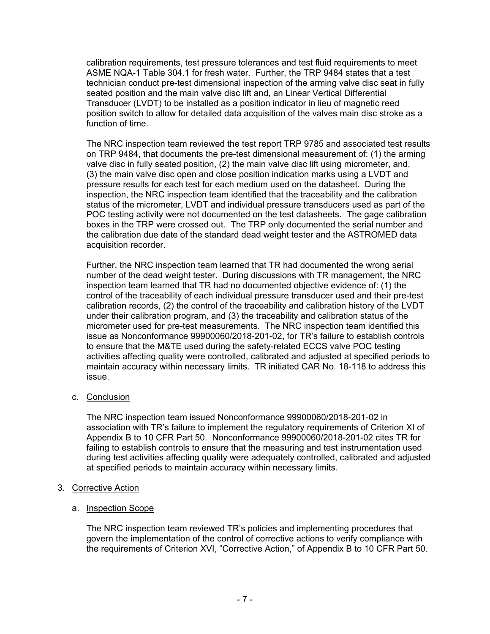calibration requirements, test pressure tolerances and test fluid requirements to meet ASME NQA-1 Table 304.1 for fresh water. Further, the TRP 9484 states that a test technician conduct pre-test dimensional inspection of the arming valve disc seat in fully seated position and the main valve disc lift and, an Linear Vertical Differential Transducer (LVDT) to be installed as a position indicator in lieu of magnetic reed position switch to allow for detailed data acquisition of the valves main disc stroke as a function of time.

The NRC inspection team reviewed the test report TRP 9785 and associated test results on TRP 9484, that documents the pre-test dimensional measurement of: (1) the arming valve disc in fully seated position, (2) the main valve disc lift using micrometer, and, (3) the main valve disc open and close position indication marks using a LVDT and pressure results for each test for each medium used on the datasheet. During the inspection, the NRC inspection team identified that the traceability and the calibration status of the micrometer, LVDT and individual pressure transducers used as part of the POC testing activity were not documented on the test datasheets. The gage calibration boxes in the TRP were crossed out. The TRP only documented the serial number and the calibration due date of the standard dead weight tester and the ASTROMED data acquisition recorder.

Further, the NRC inspection team learned that TR had documented the wrong serial number of the dead weight tester. During discussions with TR management, the NRC inspection team learned that TR had no documented objective evidence of: (1) the control of the traceability of each individual pressure transducer used and their pre-test calibration records, (2) the control of the traceability and calibration history of the LVDT under their calibration program, and (3) the traceability and calibration status of the micrometer used for pre-test measurements. The NRC inspection team identified this issue as Nonconformance 99900060/2018-201-02, for TR's failure to establish controls to ensure that the M&TE used during the safety-related ECCS valve POC testing activities affecting quality were controlled, calibrated and adjusted at specified periods to maintain accuracy within necessary limits. TR initiated CAR No. 18-118 to address this issue.

c. Conclusion

The NRC inspection team issued Nonconformance 99900060/2018-201-02 in association with TR's failure to implement the regulatory requirements of Criterion XI of Appendix B to 10 CFR Part 50. Nonconformance 99900060/2018-201-02 cites TR for failing to establish controls to ensure that the measuring and test instrumentation used during test activities affecting quality were adequately controlled, calibrated and adjusted at specified periods to maintain accuracy within necessary limits.

- 3. Corrective Action
	- a. Inspection Scope

The NRC inspection team reviewed TR's policies and implementing procedures that govern the implementation of the control of corrective actions to verify compliance with the requirements of Criterion XVI, "Corrective Action," of Appendix B to 10 CFR Part 50.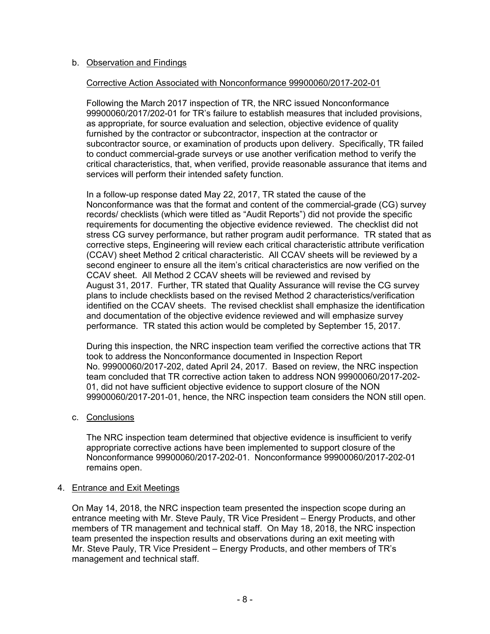## b. Observation and Findings

## Corrective Action Associated with Nonconformance 99900060/2017-202-01

Following the March 2017 inspection of TR, the NRC issued Nonconformance 99900060/2017/202-01 for TR's failure to establish measures that included provisions, as appropriate, for source evaluation and selection, objective evidence of quality furnished by the contractor or subcontractor, inspection at the contractor or subcontractor source, or examination of products upon delivery. Specifically, TR failed to conduct commercial-grade surveys or use another verification method to verify the critical characteristics, that, when verified, provide reasonable assurance that items and services will perform their intended safety function.

In a follow-up response dated May 22, 2017, TR stated the cause of the Nonconformance was that the format and content of the commercial-grade (CG) survey records/ checklists (which were titled as "Audit Reports") did not provide the specific requirements for documenting the objective evidence reviewed. The checklist did not stress CG survey performance, but rather program audit performance. TR stated that as corrective steps, Engineering will review each critical characteristic attribute verification (CCAV) sheet Method 2 critical characteristic. All CCAV sheets will be reviewed by a second engineer to ensure all the item's critical characteristics are now verified on the CCAV sheet. All Method 2 CCAV sheets will be reviewed and revised by August 31, 2017. Further, TR stated that Quality Assurance will revise the CG survey plans to include checklists based on the revised Method 2 characteristics/verification identified on the CCAV sheets. The revised checklist shall emphasize the identification and documentation of the objective evidence reviewed and will emphasize survey performance. TR stated this action would be completed by September 15, 2017.

During this inspection, the NRC inspection team verified the corrective actions that TR took to address the Nonconformance documented in Inspection Report No. 99900060/2017-202, dated April 24, 2017. Based on review, the NRC inspection team concluded that TR corrective action taken to address NON 99900060/2017-202- 01, did not have sufficient objective evidence to support closure of the NON 99900060/2017-201-01, hence, the NRC inspection team considers the NON still open.

## c. Conclusions

The NRC inspection team determined that objective evidence is insufficient to verify appropriate corrective actions have been implemented to support closure of the Nonconformance 99900060/2017-202-01. Nonconformance 99900060/2017-202-01 remains open.

## 4. Entrance and Exit Meetings

On May 14, 2018, the NRC inspection team presented the inspection scope during an entrance meeting with Mr. Steve Pauly, TR Vice President – Energy Products, and other members of TR management and technical staff. On May 18, 2018, the NRC inspection team presented the inspection results and observations during an exit meeting with Mr. Steve Pauly, TR Vice President – Energy Products, and other members of TR's management and technical staff.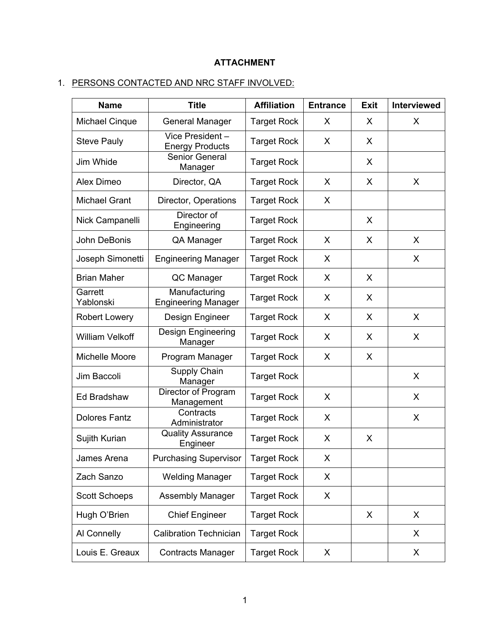# **ATTACHMENT**

# 1. PERSONS CONTACTED AND NRC STAFF INVOLVED:

| <b>Name</b>            | <b>Title</b>                                | <b>Affiliation</b> | <b>Entrance</b> | <b>Exit</b> | <b>Interviewed</b> |
|------------------------|---------------------------------------------|--------------------|-----------------|-------------|--------------------|
| <b>Michael Cinque</b>  | <b>General Manager</b>                      | <b>Target Rock</b> | X               | X           | X                  |
| <b>Steve Pauly</b>     | Vice President-<br><b>Energy Products</b>   | <b>Target Rock</b> | X               | X           |                    |
| Jim Whide              | <b>Senior General</b><br>Manager            | <b>Target Rock</b> |                 | X           |                    |
| Alex Dimeo             | Director, QA                                | <b>Target Rock</b> | X               | X           | X                  |
| <b>Michael Grant</b>   | Director, Operations                        | <b>Target Rock</b> | X               |             |                    |
| Nick Campanelli        | Director of<br>Engineering                  | <b>Target Rock</b> |                 | X           |                    |
| John DeBonis           | QA Manager                                  | <b>Target Rock</b> | X               | X           | X                  |
| Joseph Simonetti       | <b>Engineering Manager</b>                  | <b>Target Rock</b> | X               |             | X                  |
| <b>Brian Maher</b>     | QC Manager                                  | <b>Target Rock</b> | X               | X           |                    |
| Garrett<br>Yablonski   | Manufacturing<br><b>Engineering Manager</b> | <b>Target Rock</b> | X               | X           |                    |
| <b>Robert Lowery</b>   | Design Engineer                             | <b>Target Rock</b> | X               | X           | X                  |
| <b>William Velkoff</b> | Design Engineering<br>Manager               | <b>Target Rock</b> | X               | X           | X                  |
| Michelle Moore         | Program Manager                             | <b>Target Rock</b> | X               | X           |                    |
| Jim Baccoli            | Supply Chain<br>Manager                     | <b>Target Rock</b> |                 |             | X                  |
| Ed Bradshaw            | Director of Program<br>Management           | <b>Target Rock</b> | X               |             | X                  |
| <b>Dolores Fantz</b>   | Contracts<br>Administrator                  | <b>Target Rock</b> | X               |             | X                  |
| Sujith Kurian          | <b>Quality Assurance</b><br>Engineer        | <b>Target Rock</b> | X               | X           |                    |
| James Arena            | <b>Purchasing Supervisor</b>                | Target Rock        | Χ               |             |                    |
| Zach Sanzo             | <b>Welding Manager</b>                      | <b>Target Rock</b> | X               |             |                    |
| <b>Scott Schoeps</b>   | <b>Assembly Manager</b>                     | <b>Target Rock</b> | X               |             |                    |
| Hugh O'Brien           | <b>Chief Engineer</b>                       | <b>Target Rock</b> |                 | X           | X                  |
| Al Connelly            | <b>Calibration Technician</b>               | <b>Target Rock</b> |                 |             | X                  |
| Louis E. Greaux        | <b>Contracts Manager</b>                    | <b>Target Rock</b> | X               |             | X                  |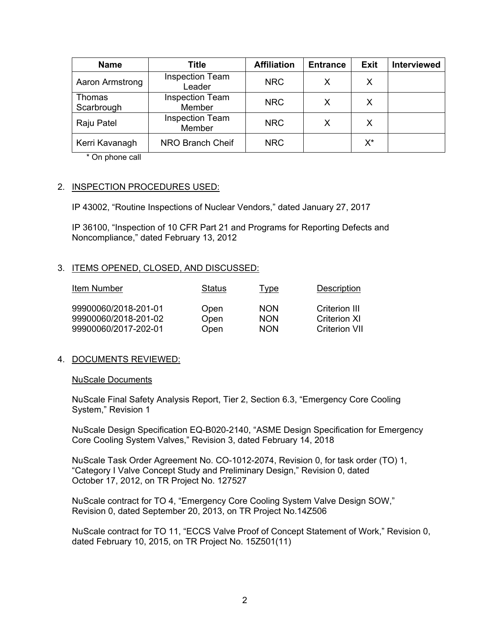| <b>Name</b>          | <b>Title</b>                     | <b>Affiliation</b> | <b>Entrance</b> | <b>Exit</b> | <b>Interviewed</b> |
|----------------------|----------------------------------|--------------------|-----------------|-------------|--------------------|
| Aaron Armstrong      | <b>Inspection Team</b><br>Leader | <b>NRC</b>         | x               | X           |                    |
| Thomas<br>Scarbrough | <b>Inspection Team</b><br>Member | <b>NRC</b>         | X               | X           |                    |
| Raju Patel           | <b>Inspection Team</b><br>Member | <b>NRC</b>         | x               | X           |                    |
| Kerri Kavanagh       | NRO Branch Cheif                 | <b>NRC</b>         |                 | $X^*$       |                    |

\* On phone call

### 2. INSPECTION PROCEDURES USED:

IP 43002, "Routine Inspections of Nuclear Vendors," dated January 27, 2017

IP 36100, "Inspection of 10 CFR Part 21 and Programs for Reporting Defects and Noncompliance," dated February 13, 2012

### 3. ITEMS OPENED, CLOSED, AND DISCUSSED:

| Item Number                                  | Status       | <u>Type</u>              | <b>Description</b>            |
|----------------------------------------------|--------------|--------------------------|-------------------------------|
| 99900060/2018-201-01<br>99900060/2018-201-02 | Open<br>Open | <b>NON</b><br><b>NON</b> | Criterion III<br>Criterion XI |
| 99900060/2017-202-01                         | Open         | <b>NON</b>               | <b>Criterion VII</b>          |

## 4. DOCUMENTS REVIEWED:

#### NuScale Documents

NuScale Final Safety Analysis Report, Tier 2, Section 6.3, "Emergency Core Cooling System," Revision 1

NuScale Design Specification EQ-B020-2140, "ASME Design Specification for Emergency Core Cooling System Valves," Revision 3, dated February 14, 2018

NuScale Task Order Agreement No. CO-1012-2074, Revision 0, for task order (TO) 1, "Category I Valve Concept Study and Preliminary Design," Revision 0, dated October 17, 2012, on TR Project No. 127527

NuScale contract for TO 4, "Emergency Core Cooling System Valve Design SOW," Revision 0, dated September 20, 2013, on TR Project No.14Z506

NuScale contract for TO 11, "ECCS Valve Proof of Concept Statement of Work," Revision 0, dated February 10, 2015, on TR Project No. 15Z501(11)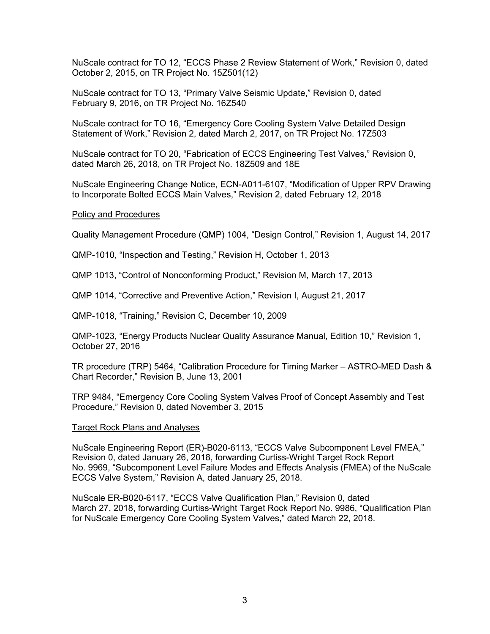NuScale contract for TO 12, "ECCS Phase 2 Review Statement of Work," Revision 0, dated October 2, 2015, on TR Project No. 15Z501(12)

NuScale contract for TO 13, "Primary Valve Seismic Update," Revision 0, dated February 9, 2016, on TR Project No. 16Z540

NuScale contract for TO 16, "Emergency Core Cooling System Valve Detailed Design Statement of Work," Revision 2, dated March 2, 2017, on TR Project No. 17Z503

NuScale contract for TO 20, "Fabrication of ECCS Engineering Test Valves," Revision 0, dated March 26, 2018, on TR Project No. 18Z509 and 18E

NuScale Engineering Change Notice, ECN-A011-6107, "Modification of Upper RPV Drawing to Incorporate Bolted ECCS Main Valves," Revision 2, dated February 12, 2018

#### Policy and Procedures

Quality Management Procedure (QMP) 1004, "Design Control," Revision 1, August 14, 2017

QMP-1010, "Inspection and Testing," Revision H, October 1, 2013

QMP 1013, "Control of Nonconforming Product," Revision M, March 17, 2013

QMP 1014, "Corrective and Preventive Action," Revision I, August 21, 2017

QMP-1018, "Training," Revision C, December 10, 2009

QMP-1023, "Energy Products Nuclear Quality Assurance Manual, Edition 10," Revision 1, October 27, 2016

TR procedure (TRP) 5464, "Calibration Procedure for Timing Marker – ASTRO-MED Dash & Chart Recorder," Revision B, June 13, 2001

TRP 9484, "Emergency Core Cooling System Valves Proof of Concept Assembly and Test Procedure," Revision 0, dated November 3, 2015

#### Target Rock Plans and Analyses

NuScale Engineering Report (ER)-B020-6113, "ECCS Valve Subcomponent Level FMEA," Revision 0, dated January 26, 2018, forwarding Curtiss-Wright Target Rock Report No. 9969, "Subcomponent Level Failure Modes and Effects Analysis (FMEA) of the NuScale ECCS Valve System," Revision A, dated January 25, 2018.

NuScale ER-B020-6117, "ECCS Valve Qualification Plan," Revision 0, dated March 27, 2018, forwarding Curtiss-Wright Target Rock Report No. 9986, "Qualification Plan for NuScale Emergency Core Cooling System Valves," dated March 22, 2018.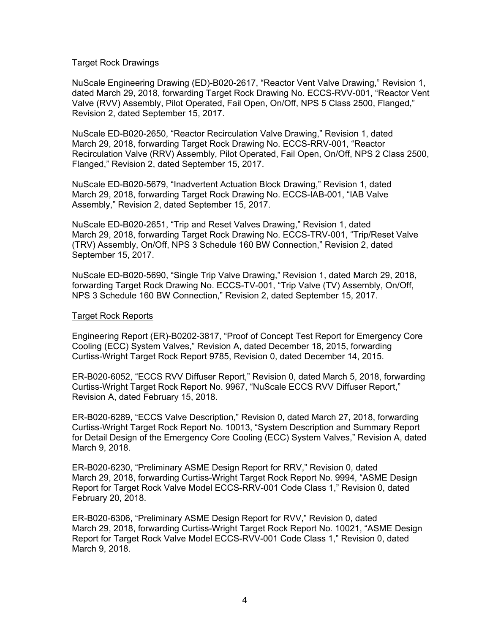#### Target Rock Drawings

NuScale Engineering Drawing (ED)-B020-2617, "Reactor Vent Valve Drawing," Revision 1, dated March 29, 2018, forwarding Target Rock Drawing No. ECCS-RVV-001, "Reactor Vent Valve (RVV) Assembly, Pilot Operated, Fail Open, On/Off, NPS 5 Class 2500, Flanged," Revision 2, dated September 15, 2017.

NuScale ED-B020-2650, "Reactor Recirculation Valve Drawing," Revision 1, dated March 29, 2018, forwarding Target Rock Drawing No. ECCS-RRV-001, "Reactor Recirculation Valve (RRV) Assembly, Pilot Operated, Fail Open, On/Off, NPS 2 Class 2500, Flanged," Revision 2, dated September 15, 2017.

NuScale ED-B020-5679, "Inadvertent Actuation Block Drawing," Revision 1, dated March 29, 2018, forwarding Target Rock Drawing No. ECCS-IAB-001, "IAB Valve Assembly," Revision 2, dated September 15, 2017.

NuScale ED-B020-2651, "Trip and Reset Valves Drawing," Revision 1, dated March 29, 2018, forwarding Target Rock Drawing No. ECCS-TRV-001, "Trip/Reset Valve (TRV) Assembly, On/Off, NPS 3 Schedule 160 BW Connection," Revision 2, dated September 15, 2017.

NuScale ED-B020-5690, "Single Trip Valve Drawing," Revision 1, dated March 29, 2018, forwarding Target Rock Drawing No. ECCS-TV-001, "Trip Valve (TV) Assembly, On/Off, NPS 3 Schedule 160 BW Connection," Revision 2, dated September 15, 2017.

#### Target Rock Reports

Engineering Report (ER)-B0202-3817, "Proof of Concept Test Report for Emergency Core Cooling (ECC) System Valves," Revision A, dated December 18, 2015, forwarding Curtiss-Wright Target Rock Report 9785, Revision 0, dated December 14, 2015.

ER-B020-6052, "ECCS RVV Diffuser Report," Revision 0, dated March 5, 2018, forwarding Curtiss-Wright Target Rock Report No. 9967, "NuScale ECCS RVV Diffuser Report," Revision A, dated February 15, 2018.

ER-B020-6289, "ECCS Valve Description," Revision 0, dated March 27, 2018, forwarding Curtiss-Wright Target Rock Report No. 10013, "System Description and Summary Report for Detail Design of the Emergency Core Cooling (ECC) System Valves," Revision A, dated March 9, 2018.

ER-B020-6230, "Preliminary ASME Design Report for RRV," Revision 0, dated March 29, 2018, forwarding Curtiss-Wright Target Rock Report No. 9994, "ASME Design Report for Target Rock Valve Model ECCS-RRV-001 Code Class 1," Revision 0, dated February 20, 2018.

ER-B020-6306, "Preliminary ASME Design Report for RVV," Revision 0, dated March 29, 2018, forwarding Curtiss-Wright Target Rock Report No. 10021, "ASME Design Report for Target Rock Valve Model ECCS-RVV-001 Code Class 1," Revision 0, dated March 9, 2018.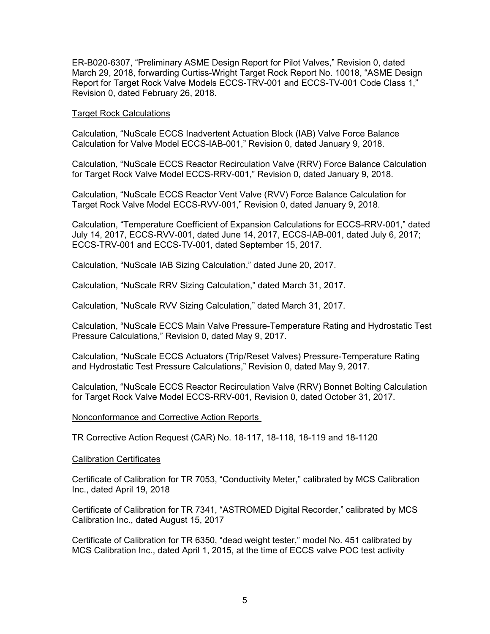ER-B020-6307, "Preliminary ASME Design Report for Pilot Valves," Revision 0, dated March 29, 2018, forwarding Curtiss-Wright Target Rock Report No. 10018, "ASME Design Report for Target Rock Valve Models ECCS-TRV-001 and ECCS-TV-001 Code Class 1," Revision 0, dated February 26, 2018.

#### Target Rock Calculations

Calculation, "NuScale ECCS Inadvertent Actuation Block (IAB) Valve Force Balance Calculation for Valve Model ECCS-IAB-001," Revision 0, dated January 9, 2018.

Calculation, "NuScale ECCS Reactor Recirculation Valve (RRV) Force Balance Calculation for Target Rock Valve Model ECCS-RRV-001," Revision 0, dated January 9, 2018.

Calculation, "NuScale ECCS Reactor Vent Valve (RVV) Force Balance Calculation for Target Rock Valve Model ECCS-RVV-001," Revision 0, dated January 9, 2018.

Calculation, "Temperature Coefficient of Expansion Calculations for ECCS-RRV-001," dated July 14, 2017, ECCS-RVV-001, dated June 14, 2017, ECCS-IAB-001, dated July 6, 2017; ECCS-TRV-001 and ECCS-TV-001, dated September 15, 2017.

Calculation, "NuScale IAB Sizing Calculation," dated June 20, 2017.

Calculation, "NuScale RRV Sizing Calculation," dated March 31, 2017.

Calculation, "NuScale RVV Sizing Calculation," dated March 31, 2017.

Calculation, "NuScale ECCS Main Valve Pressure-Temperature Rating and Hydrostatic Test Pressure Calculations," Revision 0, dated May 9, 2017.

Calculation, "NuScale ECCS Actuators (Trip/Reset Valves) Pressure-Temperature Rating and Hydrostatic Test Pressure Calculations," Revision 0, dated May 9, 2017.

Calculation, "NuScale ECCS Reactor Recirculation Valve (RRV) Bonnet Bolting Calculation for Target Rock Valve Model ECCS-RRV-001, Revision 0, dated October 31, 2017.

#### Nonconformance and Corrective Action Reports

TR Corrective Action Request (CAR) No. 18-117, 18-118, 18-119 and 18-1120

#### Calibration Certificates

Certificate of Calibration for TR 7053, "Conductivity Meter," calibrated by MCS Calibration Inc., dated April 19, 2018

Certificate of Calibration for TR 7341, "ASTROMED Digital Recorder," calibrated by MCS Calibration Inc., dated August 15, 2017

Certificate of Calibration for TR 6350, "dead weight tester," model No. 451 calibrated by MCS Calibration Inc., dated April 1, 2015, at the time of ECCS valve POC test activity